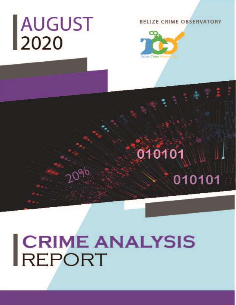# AUGUST<br>2020

BELIZE CRIME OBSERVATORY



010101

010101

# CRIME ANALYSIS<br>REPORT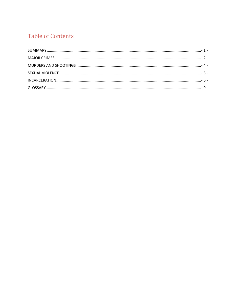#### **Table of Contents**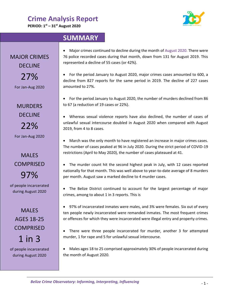**PERIOD: 1st – 31 st August 2020**



#### <span id="page-2-0"></span>**SUMMARY**

| <b>MAJOR CRIMES</b><br><b>DECLINE</b>        | Major crimes continued to decline during the month of August 2020. There were<br>76 police recorded cases during that month, down from 131 for August 2019. This<br>represented a decline of 55 cases (or 42%).                                        |
|----------------------------------------------|--------------------------------------------------------------------------------------------------------------------------------------------------------------------------------------------------------------------------------------------------------|
| 27%<br>For Jan-Aug 2020                      | For the period January to August 2020, major crimes cases amounted to 600, a<br>decline from 827 reports for the same period in 2019. The decline of 227 cases<br>amounted to 27%.                                                                     |
| <b>MURDERS</b>                               | For the period January to August 2020, the number of murders declined from 86<br>to 67 (a reduction of 19 cases or 22%).                                                                                                                               |
| <b>DECLINE</b><br>22%                        | Whereas sexual violence reports have also declined, the number of cases of<br>$\bullet$<br>unlawful sexual intercourse doubled in August 2020 when compared with August<br>2019, from 4 to 8 cases.                                                    |
| For Jan-Aug 2020<br><b>MALES</b>             | March was the only month to have registered an increase in major crimes cases.<br>The number of cases peaked at 96 in July 2020. During the strict period of COVID-19<br>restrictions (April to May 2020), the number of cases plateaued at 41.        |
| <b>COMPRISED</b><br>97%                      | The murder count hit the second highest peak in July, with 12 cases reported<br>nationally for that month. This was well above to year-to-date average of 8 murders<br>per month. August saw a marked decline to 4 murder cases.                       |
| of people incarcerated<br>during August 2020 | The Belize District continued to account for the largest percentage of major<br>٠<br>crimes, among to about 1 in 3 reports. This is                                                                                                                    |
| <b>MALES</b><br><b>AGES 18-25</b>            | 97% of incarcerated inmates were males, and 3% were females. Six out of every<br>ten people newly incarcerated were remanded inmates. The most frequent crimes<br>or offences for which they were incarcerated were illegal entry and property crimes. |
| <b>COMPRISED</b><br>$1$ in $3$               | There were three people incarcerated for murder, another 3 for attempted<br>murder, 1 for rape and 5 for unlawful sexual intercourse.                                                                                                                  |
| of people incarcerated<br>during August 2020 | Males ages 18 to 25 comprised approximately 30% of people incarcerated during<br>the month of August 2020.                                                                                                                                             |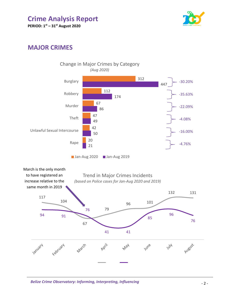**PERIOD: 1st – 31 st August 2020**



#### <span id="page-3-0"></span>**MAJOR CRIMES**

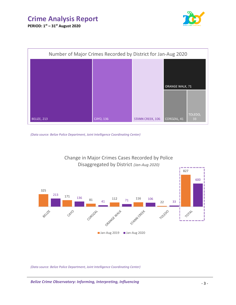**PERIOD: 1st – 31 st August 2020**





*(Data source: Belize Police Department, Joint Intelligence Coordinating Center)*



*(Data source: Belize Police Department, Joint Intelligence Coordinating Center)*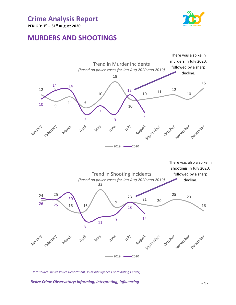

**PERIOD: 1st – 31 st August 2020**

#### <span id="page-5-0"></span>**MURDERS AND SHOOTINGS**



*(Data source: Belize Police Department, Joint Intelligence Coordinating Center)*

*Belize Crime Observatory: Informing, Interpreting, Influencing*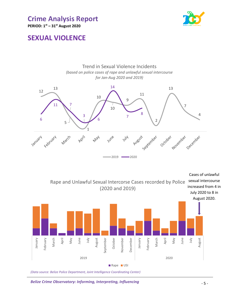

**PERIOD: 1st – 31 st August 2020**

#### <span id="page-6-0"></span>**SEXUAL VIOLENCE**



*(Data source: Belize Police Department, Joint Intelligence Coordinating Center)*

*Belize Crime Observatory: Informing, Interpreting, Influencing*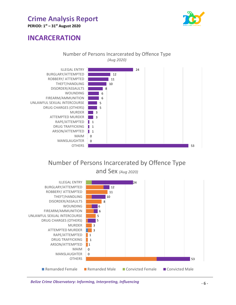



**PERIOD: 1st – 31 st August 2020**

#### <span id="page-7-0"></span>**INCARCERATION**

#### Number of Persons Incarcerated by Offence Type *(Aug 2020)*



# Number of Persons Incarcerated by Offence Type

and Sex *(Aug 2020)*

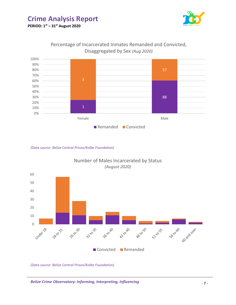



Percentage of Incarcerated Inmates Remanded and Convicted, Disaggregated by Sex *(Aug 2020)*



*(Data source: Belize Central Prison/Kolbe Foundation)*



*(Data source: Belize Central Prison/Kolbe Foundation)*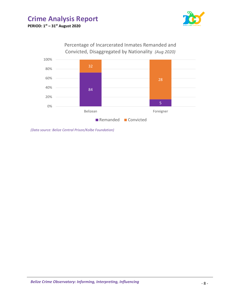#### **Crime Analysis Report PERIOD: 1st – 31 st August 2020**





*(Data source: Belize Central Prison/Kolbe Foundation)*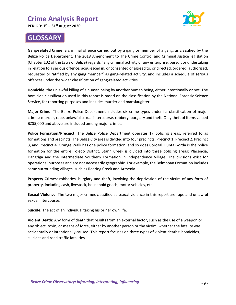**PERIOD: 1st – 31 st August 2020**



## <span id="page-10-0"></span>**GLOSSARY**

**Gang-related Crime**: a criminal offence carried out by a gang or member of a gang, as classified by the Belize Police Department. The 2018 Amendment to The Crime Control and Criminal Justice legislation (Chapter 102 of the Laws of Belize) regards "any criminal activity or any enterprise, pursuit or undertaking in relation to a serious offence, acquiesced in, or consented or agreed to, or directed, ordered, authorized, requested or ratified by any gang member" as gang-related activity, and includes a schedule of serious offences under the wider classification of gang-related activities.

**Homicide**: the unlawful killing of a human being by another human being, either intentionally or not. The homicide classification used in this report is based on the classification by the National Forensic Science Service, for reporting purposes and includes murder and manslaughter.

**Major Crime**: The Belize Police Department includes six crime types under its classification of major crimes: murder, rape, unlawful sexual intercourse, robbery, burglary and theft. Only theft of items valued BZ\$5,000 and above are included among major crimes.

**Police Formation/Precinct:** The Belize Police Department operates 17 policing areas, referred to as formations and precincts. The Belize City area is divided into four precincts: Precinct 1, Precinct 2, Precinct 3, and Precinct 4. Orange Walk has one police formation, and so does Corozal. Punta Gorda is the police formation for the entire Toledo District. Stann Creek is divided into three policing areas: Placencia, Dangriga and the Intermediate Southern Formation in Independence Village. The divisions exist for operational purposes and are not necessarily geographic. For example, the Belmopan Formation includes some surrounding villages, such as Roaring Creek and Armenia.

**Property Crimes**: robberies, burglary and theft, involving the deprivation of the victim of any form of property, including cash, livestock, household goods, motor vehicles, etc.

**Sexual Violence**: The two major crimes classified as sexual violence in this report are rape and unlawful sexual intercourse.

**Suicide:** The act of an individual taking his or her own life.

**Violent Death:** Any form of death that results from an external factor, such as the use of a weapon or any object, toxin, or means of force, either by another person or the victim, whether the fatality was accidentally or intentionally caused. This report focuses on three types of violent deaths: homicides, suicides and road traffic fatalities.